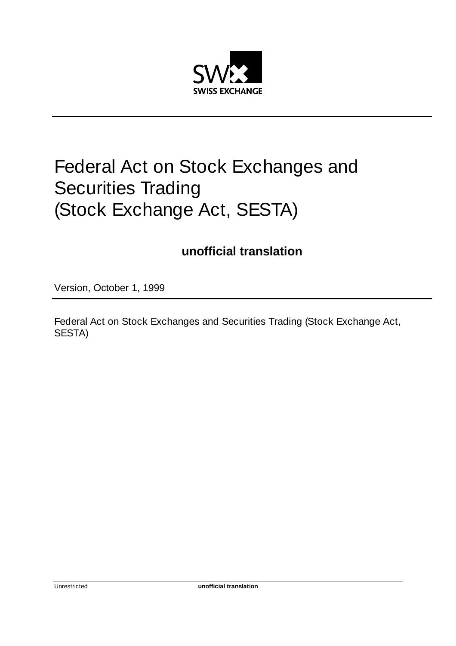

# Federal Act on Stock Exchanges and Securities Trading (Stock Exchange Act, SESTA)

# **unofficial translation**

Version, October 1, 1999

Federal Act on Stock Exchanges and Securities Trading (Stock Exchange Act, SESTA)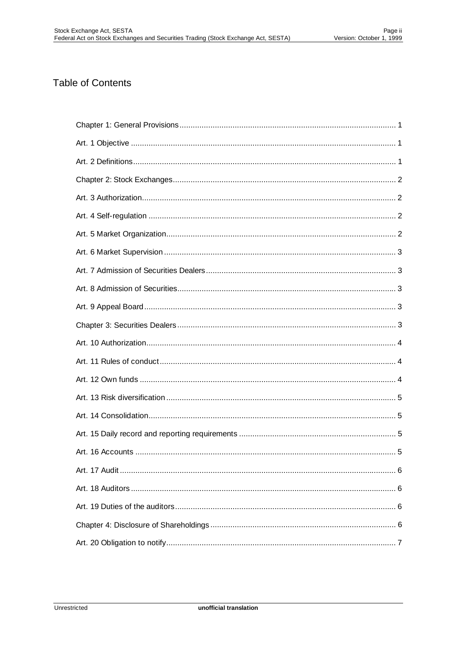#### **Table of Contents**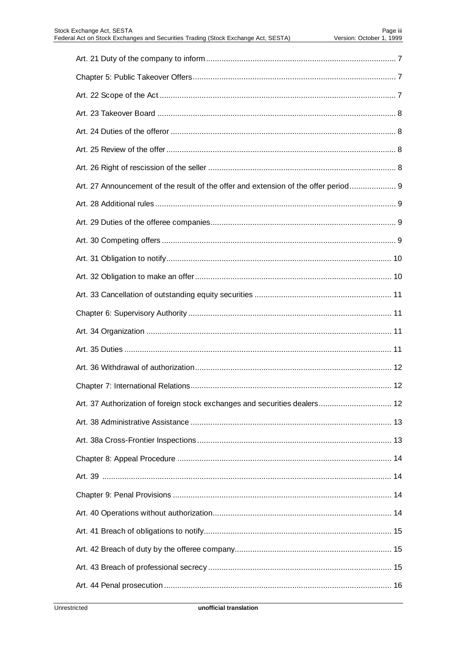| Art. 27 Announcement of the result of the offer and extension of the offer period 9 |
|-------------------------------------------------------------------------------------|
|                                                                                     |
|                                                                                     |
|                                                                                     |
|                                                                                     |
|                                                                                     |
|                                                                                     |
|                                                                                     |
|                                                                                     |
|                                                                                     |
|                                                                                     |
|                                                                                     |
|                                                                                     |
| Art. 37 Authorization of foreign stock exchanges and securities dealers 12          |
|                                                                                     |
|                                                                                     |
|                                                                                     |
|                                                                                     |
|                                                                                     |
|                                                                                     |
|                                                                                     |
|                                                                                     |
|                                                                                     |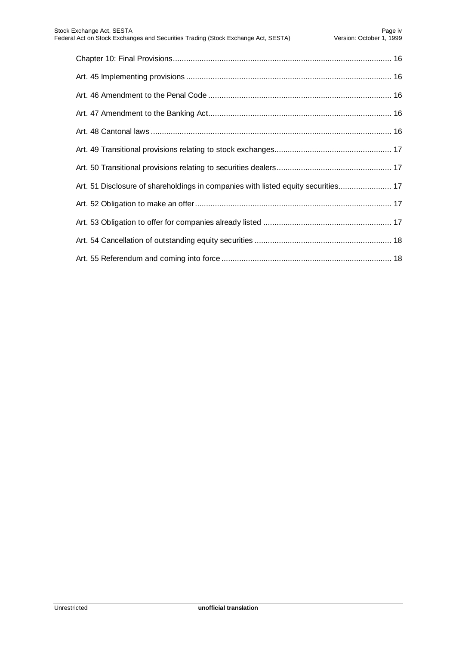| Art. 51 Disclosure of shareholdings in companies with listed equity securities 17 |
|-----------------------------------------------------------------------------------|
|                                                                                   |
|                                                                                   |
|                                                                                   |
|                                                                                   |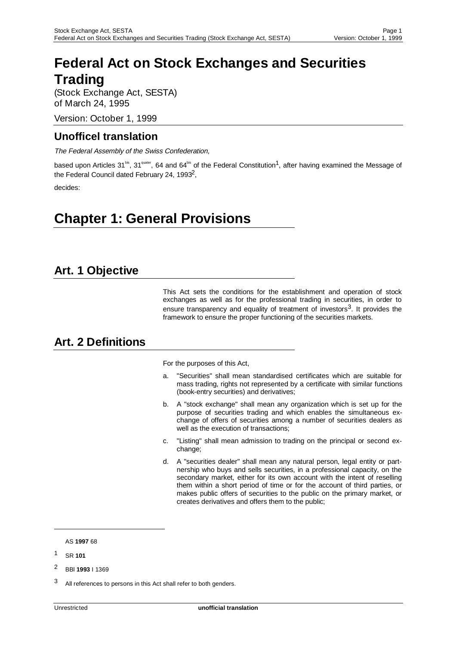# **Federal Act on Stock Exchanges and Securities Trading**

(Stock Exchange Act, SESTA) of March 24, 1995

Version: October 1, 1999

#### **Unofficel translation**

The Federal Assembly of the Swiss Confederation,

based upon Articles 31<sup>bs</sup>, 31<sup>quater</sup>, 64 and 64<sup>bis</sup> of the Federal Constitution<sup>1</sup>, after having examined the Message of the Federal Council dated February 24, 19932,

decides:

# **Chapter 1: General Provisions**

#### **Art. 1 Objective**

This Act sets the conditions for the establishment and operation of stock exchanges as well as for the professional trading in securities, in order to ensure transparency and equality of treatment of investors $3$ . It provides the framework to ensure the proper functioning of the securities markets.

#### **Art. 2 Definitions**

For the purposes of this Act,

- a. "Securities" shall mean standardised certificates which are suitable for mass trading, rights not represented by a certificate with similar functions (book-entry securities) and derivatives;
- b. A "stock exchange" shall mean any organization which is set up for the purpose of securities trading and which enables the simultaneous exchange of offers of securities among a number of securities dealers as well as the execution of transactions;
- c. "Listing" shall mean admission to trading on the principal or second exchange;
- d. A "securities dealer" shall mean any natural person, legal entity or partnership who buys and sells securities, in a professional capacity, on the secondary market, either for its own account with the intent of reselling them within a short period of time or for the account of third parties, or makes public offers of securities to the public on the primary market, or creates derivatives and offers them to the public;

AS **1997** 68

-

<sup>1</sup> SR **101**

<sup>2</sup> BBl **1993** I 1369

<sup>&</sup>lt;sup>3</sup> All references to persons in this Act shall refer to both genders.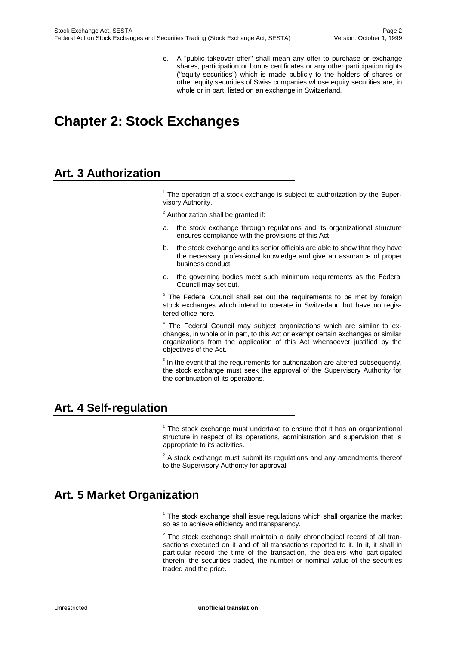e. A "public takeover offer" shall mean any offer to purchase or exchange shares, participation or bonus certificates or any other participation rights ("equity securities") which is made publicly to the holders of shares or other equity securities of Swiss companies whose equity securities are, in whole or in part, listed on an exchange in Switzerland.

# **Chapter 2: Stock Exchanges**

#### **Art. 3 Authorization**

<sup>1</sup> The operation of a stock exchange is subject to authorization by the Supervisory Authority.

 $2$  Authorization shall be granted if:

- the stock exchange through regulations and its organizational structure ensures compliance with the provisions of this Act;
- b. the stock exchange and its senior officials are able to show that they have the necessary professional knowledge and give an assurance of proper business conduct;
- c. the governing bodies meet such minimum requirements as the Federal Council may set out.

<sup>3</sup> The Federal Council shall set out the requirements to be met by foreign stock exchanges which intend to operate in Switzerland but have no registered office here.

<sup>4</sup> The Federal Council may subject organizations which are similar to exchanges, in whole or in part, to this Act or exempt certain exchanges or similar organizations from the application of this Act whensoever justified by the objectives of the Act.

<sup>5</sup> In the event that the requirements for authorization are altered subsequently, the stock exchange must seek the approval of the Supervisory Authority for the continuation of its operations.

#### **Art. 4 Self-regulation**

<sup>1</sup> The stock exchange must undertake to ensure that it has an organizational structure in respect of its operations, administration and supervision that is appropriate to its activities.

 $2^2$  A stock exchange must submit its regulations and any amendments thereof to the Supervisory Authority for approval.

#### **Art. 5 Market Organization**

<sup>1</sup> The stock exchange shall issue regulations which shall organize the market so as to achieve efficiency and transparency.

 $2$  The stock exchange shall maintain a daily chronological record of all transactions executed on it and of all transactions reported to it. In it, it shall in particular record the time of the transaction, the dealers who participated therein, the securities traded, the number or nominal value of the securities traded and the price.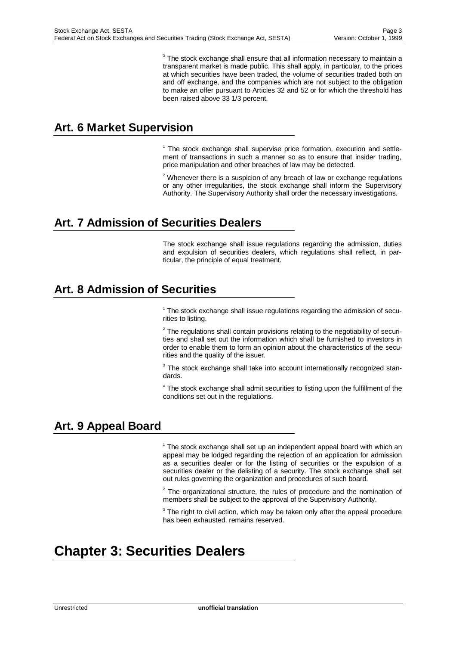$3$  The stock exchange shall ensure that all information necessary to maintain a transparent market is made public. This shall apply, in particular, to the prices at which securities have been traded, the volume of securities traded both on and off exchange, and the companies which are not subject to the obligation to make an offer pursuant to Articles 32 and 52 or for which the threshold has been raised above 33 1/3 percent.

#### **Art. 6 Market Supervision**

<sup>1</sup> The stock exchange shall supervise price formation, execution and settlement of transactions in such a manner so as to ensure that insider trading, price manipulation and other breaches of law may be detected.

 $2$  Whenever there is a suspicion of any breach of law or exchange regulations or any other irregularities, the stock exchange shall inform the Supervisory Authority. The Supervisory Authority shall order the necessary investigations.

#### **Art. 7 Admission of Securities Dealers**

The stock exchange shall issue regulations regarding the admission, duties and expulsion of securities dealers, which regulations shall reflect, in particular, the principle of equal treatment.

### **Art. 8 Admission of Securities**

<sup>1</sup> The stock exchange shall issue regulations regarding the admission of securities to listing.

 $2$  The regulations shall contain provisions relating to the negotiability of securities and shall set out the information which shall be furnished to investors in order to enable them to form an opinion about the characteristics of the securities and the quality of the issuer.

<sup>3</sup> The stock exchange shall take into account internationally recognized standards.

<sup>4</sup> The stock exchange shall admit securities to listing upon the fulfillment of the conditions set out in the regulations.

#### **Art. 9 Appeal Board**

<sup>1</sup> The stock exchange shall set up an independent appeal board with which an appeal may be lodged regarding the rejection of an application for admission as a securities dealer or for the listing of securities or the expulsion of a securities dealer or the delisting of a security. The stock exchange shall set out rules governing the organization and procedures of such board.

 $2$  The organizational structure, the rules of procedure and the nomination of members shall be subject to the approval of the Supervisory Authority.

 $3$  The right to civil action, which may be taken only after the appeal procedure has been exhausted, remains reserved.

# **Chapter 3: Securities Dealers**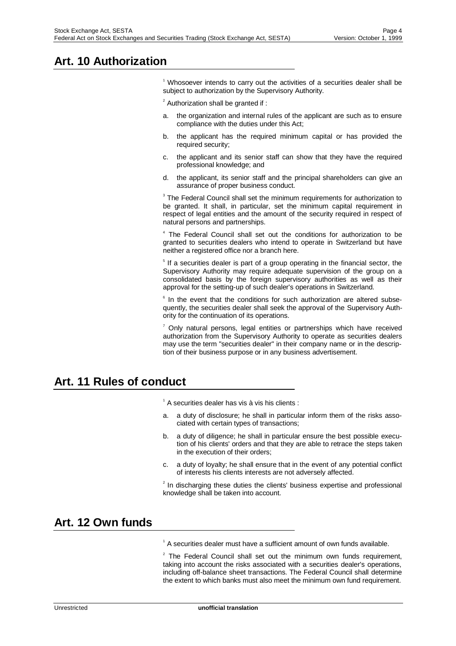# **Art. 10 Authorization**

<sup>1</sup> Whosoever intends to carry out the activities of a securities dealer shall be subject to authorization by the Supervisory Authority.

 $2$  Authorization shall be granted if:

- a. the organization and internal rules of the applicant are such as to ensure compliance with the duties under this Act;
- b. the applicant has the required minimum capital or has provided the required security;
- c. the applicant and its senior staff can show that they have the required professional knowledge; and
- d. the applicant, its senior staff and the principal shareholders can give an assurance of proper business conduct.

<sup>3</sup> The Federal Council shall set the minimum requirements for authorization to be granted. It shall, in particular, set the minimum capital requirement in respect of legal entities and the amount of the security required in respect of natural persons and partnerships.

<sup>4</sup> The Federal Council shall set out the conditions for authorization to be granted to securities dealers who intend to operate in Switzerland but have neither a registered office nor a branch here.

<sup>5</sup> If a securities dealer is part of a group operating in the financial sector, the Supervisory Authority may require adequate supervision of the group on a consolidated basis by the foreign supervisory authorities as well as their approval for the setting-up of such dealer's operations in Switzerland.

 $6$  In the event that the conditions for such authorization are altered subsequently, the securities dealer shall seek the approval of the Supervisory Authority for the continuation of its operations.

 $7$  Only natural persons, legal entities or partnerships which have received authorization from the Supervisory Authority to operate as securities dealers may use the term "securities dealer" in their company name or in the description of their business purpose or in any business advertisement.

#### **Art. 11 Rules of conduct**

 $1$  A securities dealer has vis à vis his clients :

- a. a duty of disclosure; he shall in particular inform them of the risks associated with certain types of transactions;
- b. a duty of diligence; he shall in particular ensure the best possible execution of his clients' orders and that they are able to retrace the steps taken in the execution of their orders;
- c. a duty of loyalty; he shall ensure that in the event of any potential conflict of interests his clients interests are not adversely affected.

 $2$  In discharging these duties the clients' business expertise and professional knowledge shall be taken into account.

#### **Art. 12 Own funds**

<sup>1</sup> A securities dealer must have a sufficient amount of own funds available.

 $2$  The Federal Council shall set out the minimum own funds requirement, taking into account the risks associated with a securities dealer's operations, including off-balance sheet transactions. The Federal Council shall determine the extent to which banks must also meet the minimum own fund requirement.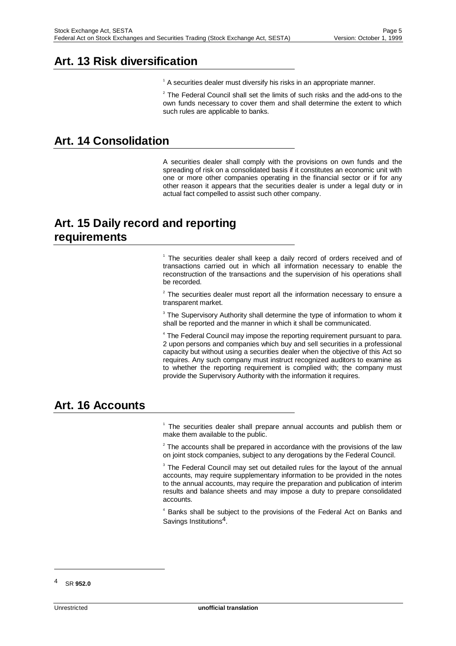### **Art. 13 Risk diversification**

<sup>1</sup> A securities dealer must diversify his risks in an appropriate manner.

 $2$  The Federal Council shall set the limits of such risks and the add-ons to the own funds necessary to cover them and shall determine the extent to which such rules are applicable to banks.

#### **Art. 14 Consolidation**

A securities dealer shall comply with the provisions on own funds and the spreading of risk on a consolidated basis if it constitutes an economic unit with one or more other companies operating in the financial sector or if for any other reason it appears that the securities dealer is under a legal duty or in actual fact compelled to assist such other company.

### **Art. 15 Daily record and reporting requirements**

<sup>1</sup> The securities dealer shall keep a daily record of orders received and of transactions carried out in which all information necessary to enable the reconstruction of the transactions and the supervision of his operations shall be recorded.

 $2$  The securities dealer must report all the information necessary to ensure a transparent market.

 $3$  The Supervisory Authority shall determine the type of information to whom it shall be reported and the manner in which it shall be communicated.

<sup>4</sup> The Federal Council may impose the reporting requirement pursuant to para. 2 upon persons and companies which buy and sell securities in a professional capacity but without using a securities dealer when the objective of this Act so requires. Any such company must instruct recognized auditors to examine as to whether the reporting requirement is complied with; the company must provide the Supervisory Authority with the information it requires.

#### **Art. 16 Accounts**

<sup>1</sup> The securities dealer shall prepare annual accounts and publish them or make them available to the public.

 $2$  The accounts shall be prepared in accordance with the provisions of the law on joint stock companies, subject to any derogations by the Federal Council.

<sup>3</sup> The Federal Council may set out detailed rules for the layout of the annual accounts, may require supplementary information to be provided in the notes to the annual accounts, may require the preparation and publication of interim results and balance sheets and may impose a duty to prepare consolidated accounts.

<sup>4</sup> Banks shall be subject to the provisions of the Federal Act on Banks and Savings Institutions4.

<sup>4</sup> SR **952.0**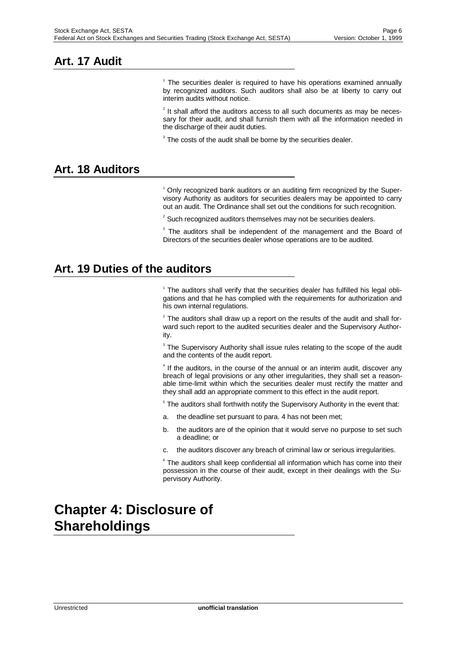#### **Art. 17 Audit**

<sup>1</sup> The securities dealer is required to have his operations examined annually by recognized auditors. Such auditors shall also be at liberty to carry out interim audits without notice.

 $2$  It shall afford the auditors access to all such documents as may be necessary for their audit, and shall furnish them with all the information needed in the discharge of their audit duties.

 $3$  The costs of the audit shall be borne by the securities dealer.

#### **Art. 18 Auditors**

<sup>1</sup> Only recognized bank auditors or an auditing firm recognized by the Supervisory Authority as auditors for securities dealers may be appointed to carry out an audit. The Ordinance shall set out the conditions for such recognition.

 $2^{2}$  Such recognized auditors themselves may not be securities dealers.

<sup>3</sup> The auditors shall be independent of the management and the Board of Directors of the securities dealer whose operations are to be audited.

#### **Art. 19 Duties of the auditors**

 $1$  The auditors shall verify that the securities dealer has fulfilled his legal obligations and that he has complied with the requirements for authorization and his own internal regulations.

 $2$  The auditors shall draw up a report on the results of the audit and shall forward such report to the audited securities dealer and the Supervisory Authority.

 $3$  The Supervisory Authority shall issue rules relating to the scope of the audit and the contents of the audit report.

 $4$  If the auditors, in the course of the annual or an interim audit, discover any breach of legal provisions or any other irregularities, they shall set a reasonable time-limit within which the securities dealer must rectify the matter and they shall add an appropriate comment to this effect in the audit report.

<sup>5</sup> The auditors shall forthwith notify the Supervisory Authority in the event that:

- a. the deadline set pursuant to para. 4 has not been met;
- b. the auditors are of the opinion that it would serve no purpose to set such a deadline; or
- c. the auditors discover any breach of criminal law or serious irregularities.

 $6$  The auditors shall keep confidential all information which has come into their possession in the course of their audit, except in their dealings with the Supervisory Authority.

# **Chapter 4: Disclosure of Shareholdings**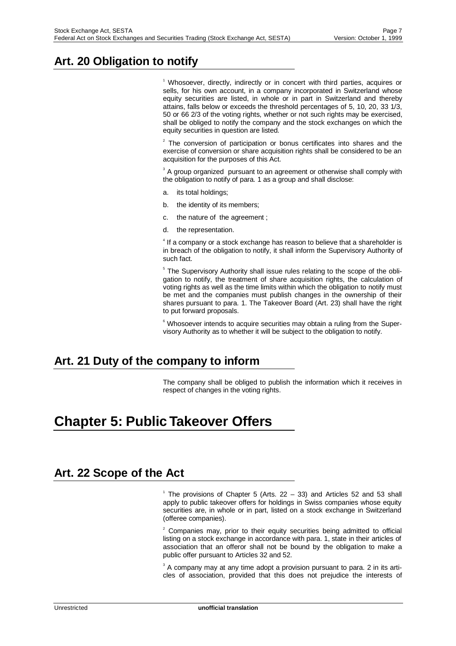# **Art. 20 Obligation to notify**

<sup>1</sup> Whosoever, directly, indirectly or in concert with third parties, acquires or sells, for his own account, in a company incorporated in Switzerland whose equity securities are listed, in whole or in part in Switzerland and thereby attains, falls below or exceeds the threshold percentages of 5, 10, 20, 33 1/3, 50 or 66 2/3 of the voting rights, whether or not such rights may be exercised, shall be obliged to notify the company and the stock exchanges on which the equity securities in question are listed.

 $2$  The conversion of participation or bonus certificates into shares and the exercise of conversion or share acquisition rights shall be considered to be an acquisition for the purposes of this Act.

 $3$  A group organized pursuant to an agreement or otherwise shall comply with the obligation to notify of para. 1 as a group and shall disclose:

- a. its total holdings;
- b. the identity of its members;
- c. the nature of the agreement ;
- d. the representation.

 $<sup>4</sup>$  If a company or a stock exchange has reason to believe that a shareholder is</sup> in breach of the obligation to notify, it shall inform the Supervisory Authority of such fact.

<sup>5</sup> The Supervisory Authority shall issue rules relating to the scope of the obligation to notify, the treatment of share acquisition rights, the calculation of voting rights as well as the time limits within which the obligation to notify must be met and the companies must publish changes in the ownership of their shares pursuant to para. 1. The Takeover Board (Art. 23) shall have the right to put forward proposals.

6 Whosoever intends to acquire securities may obtain a ruling from the Supervisory Authority as to whether it will be subject to the obligation to notify.

# **Art. 21 Duty of the company to inform**

The company shall be obliged to publish the information which it receives in respect of changes in the voting rights.

# **Chapter 5: Public Takeover Offers**

#### **Art. 22 Scope of the Act**

<sup>1</sup> The provisions of Chapter 5 (Arts. 22 - 33) and Articles 52 and 53 shall apply to public takeover offers for holdings in Swiss companies whose equity securities are, in whole or in part, listed on a stock exchange in Switzerland (offeree companies).

 $2$  Companies may, prior to their equity securities being admitted to official listing on a stock exchange in accordance with para. 1, state in their articles of association that an offeror shall not be bound by the obligation to make a public offer pursuant to Articles 32 and 52.

 $3$  A company may at any time adopt a provision pursuant to para. 2 in its articles of association, provided that this does not prejudice the interests of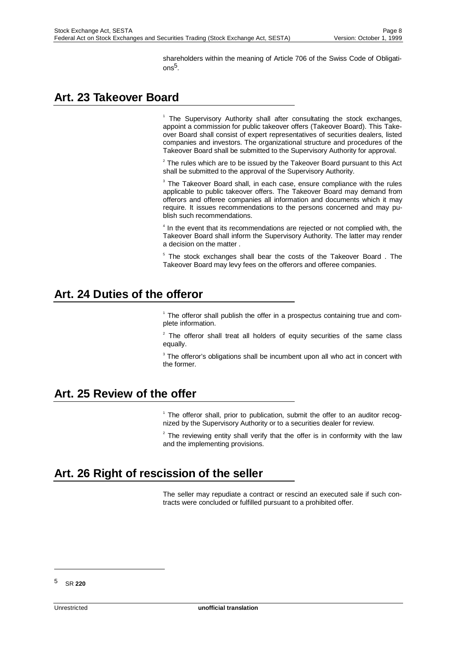shareholders within the meaning of Article 706 of the Swiss Code of Obligati $n s<sup>5</sup>$ 

# **Art. 23 Takeover Board**

<sup>1</sup> The Supervisory Authority shall after consultating the stock exchanges, appoint a commission for public takeover offers (Takeover Board). This Takeover Board shall consist of expert representatives of securities dealers, listed companies and investors. The organizational structure and procedures of the Takeover Board shall be submitted to the Supervisory Authority for approval.

 $2$  The rules which are to be issued by the Takeover Board pursuant to this Act shall be submitted to the approval of the Supervisory Authority.

 $3$  The Takeover Board shall, in each case, ensure compliance with the rules applicable to public takeover offers. The Takeover Board may demand from offerors and offeree companies all information and documents which it may require. It issues recommendations to the persons concerned and may publish such recommendations.

<sup>4</sup> In the event that its recommendations are rejected or not complied with, the Takeover Board shall inform the Supervisory Authority. The latter may render a decision on the matter .

5 The stock exchanges shall bear the costs of the Takeover Board . The Takeover Board may levy fees on the offerors and offeree companies.

#### **Art. 24 Duties of the offeror**

1 The offeror shall publish the offer in a prospectus containing true and complete information.

 $2$  The offeror shall treat all holders of equity securities of the same class equally.

 $3$  The offeror's obligations shall be incumbent upon all who act in concert with the former.

#### **Art. 25 Review of the offer**

<sup>1</sup> The offeror shall, prior to publication, submit the offer to an auditor recognized by the Supervisory Authority or to a securities dealer for review.

 $2$  The reviewing entity shall verify that the offer is in conformity with the law and the implementing provisions.

# **Art. 26 Right of rescission of the seller**

The seller may repudiate a contract or rescind an executed sale if such contracts were concluded or fulfilled pursuant to a prohibited offer.

<sup>5</sup> SR **220**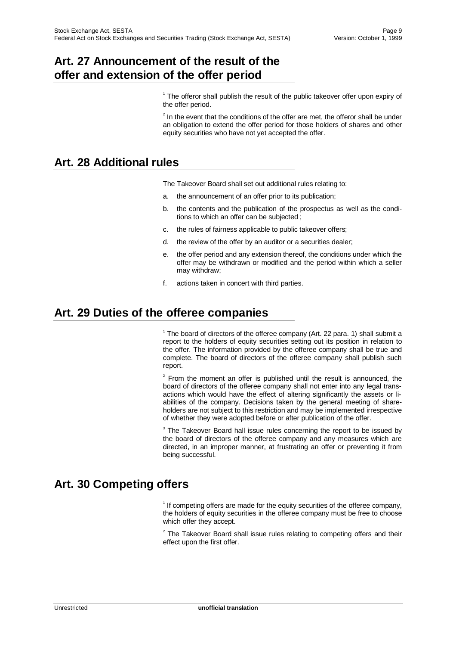#### **Art. 27 Announcement of the result of the offer and extension of the offer period**

<sup>1</sup> The offeror shall publish the result of the public takeover offer upon expiry of the offer period.

 $2$  In the event that the conditions of the offer are met, the offeror shall be under an obligation to extend the offer period for those holders of shares and other equity securities who have not yet accepted the offer.

### **Art. 28 Additional rules**

The Takeover Board shall set out additional rules relating to:

- a. the announcement of an offer prior to its publication;
- b. the contents and the publication of the prospectus as well as the conditions to which an offer can be subjected ;
- c. the rules of fairness applicable to public takeover offers;
- d. the review of the offer by an auditor or a securities dealer;
- e. the offer period and any extension thereof, the conditions under which the offer may be withdrawn or modified and the period within which a seller may withdraw;
- f. actions taken in concert with third parties.

#### **Art. 29 Duties of the offeree companies**

<sup>1</sup> The board of directors of the offeree company (Art. 22 para. 1) shall submit a report to the holders of equity securities setting out its position in relation to the offer. The information provided by the offeree company shall be true and complete. The board of directors of the offeree company shall publish such report.

 $2$  From the moment an offer is published until the result is announced, the board of directors of the offeree company shall not enter into any legal transactions which would have the effect of altering significantly the assets or liabilities of the company. Decisions taken by the general meeting of shareholders are not subject to this restriction and may be implemented irrespective of whether they were adopted before or after publication of the offer.

 $3$  The Takeover Board hall issue rules concerning the report to be issued by the board of directors of the offeree company and any measures which are directed, in an improper manner, at frustrating an offer or preventing it from being successful.

# **Art. 30 Competing offers**

<sup>1</sup> If competing offers are made for the equity securities of the offeree company, the holders of equity securities in the offeree company must be free to choose which offer they accept.

 $2$  The Takeover Board shall issue rules relating to competing offers and their effect upon the first offer.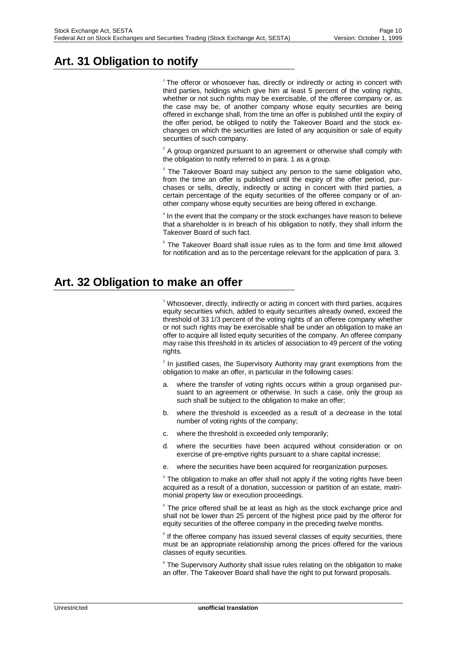# **Art. 31 Obligation to notify**

<sup>1</sup> The offeror or whosoever has, directly or indirectly or acting in concert with third parties, holdings which give him at least 5 percent of the voting rights, whether or not such rights may be exercisable, of the offeree company or, as the case may be, of another company whose equity securities are being offered in exchange shall, from the time an offer is published until the expiry of the offer period, be obliged to notify the Takeover Board and the stock exchanges on which the securities are listed of any acquisition or sale of equity securities of such company.

 $2^2$  A group organized pursuant to an agreement or otherwise shall comply with the obligation to notify referred to in para. 1 as a group.

<sup>3</sup> The Takeover Board may subject any person to the same obligation who, from the time an offer is published until the expiry of the offer period, purchases or sells, directly, indirectly or acting in concert with third parties, a certain percentage of the equity securities of the offeree company or of another company whose equity securities are being offered in exchange.

<sup>4</sup> In the event that the company or the stock exchanges have reason to believe that a shareholder is in breach of his obligation to notify, they shall inform the Takeover Board of such fact.

5 The Takeover Board shall issue rules as to the form and time limit allowed for notification and as to the percentage relevant for the application of para. 3.

### **Art. 32 Obligation to make an offer**

<sup>1</sup> Whosoever, directly, indirectly or acting in concert with third parties, acquires equity securities which, added to equity securities already owned, exceed the threshold of 33 1/3 percent of the voting rights of an offeree company whether or not such rights may be exercisable shall be under an obligation to make an offer to acquire all listed equity securities of the company. An offeree company may raise this threshold in its articles of association to 49 percent of the voting rights.

 $2$  In justified cases, the Supervisory Authority may grant exemptions from the obligation to make an offer, in particular in the following cases:

- a. where the transfer of voting rights occurs within a group organised pursuant to an agreement or otherwise. In such a case, only the group as such shall be subject to the obligation to make an offer;
- b. where the threshold is exceeded as a result of a decrease in the total number of voting rights of the company;
- c. where the threshold is exceeded only temporarily;
- d. where the securities have been acquired without consideration or on exercise of pre-emptive rights pursuant to a share capital increase;
- e. where the securities have been acquired for reorganization purposes.

 $3$  The obligation to make an offer shall not apply if the voting rights have been acquired as a result of a donation, succession or partition of an estate, matrimonial property law or execution proceedings.

<sup>4</sup> The price offered shall be at least as high as the stock exchange price and shall not be lower than 25 percent of the highest price paid by the offeror for equity securities of the offeree company in the preceding twelve months.

<sup>5</sup> If the offeree company has issued several classes of equity securities, there must be an appropriate relationship among the prices offered for the various classes of equity securities.

**<sup>6</sup> The Supervisory Authority shall issue rules relating on the obligation to make** an offer. The Takeover Board shall have the right to put forward proposals.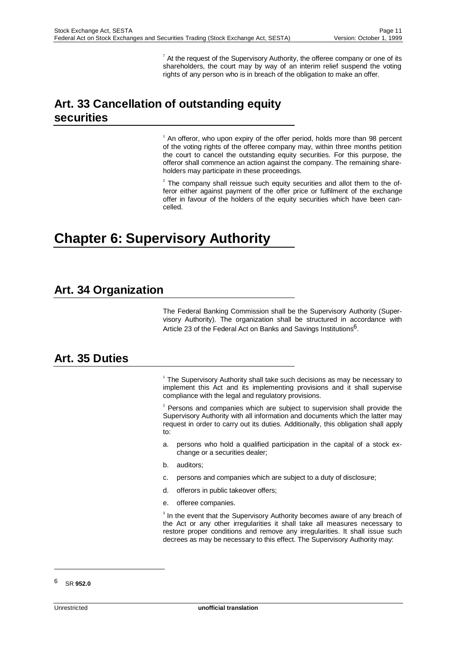$^7$  At the request of the Supervisory Authority, the offeree company or one of its shareholders, the court may by way of an interim relief suspend the voting rights of any person who is in breach of the obligation to make an offer.

# **Art. 33 Cancellation of outstanding equity securities**

<sup>1</sup> An offeror, who upon expiry of the offer period, holds more than 98 percent of the voting rights of the offeree company may, within three months petition the court to cancel the outstanding equity securities. For this purpose, the offeror shall commence an action against the company. The remaining shareholders may participate in these proceedings.

 $2$  The company shall reissue such equity securities and allot them to the offeror either against payment of the offer price or fulfilment of the exchange offer in favour of the holders of the equity securities which have been cancelled.

# **Chapter 6: Supervisory Authority**

### **Art. 34 Organization**

The Federal Banking Commission shall be the Supervisory Authority (Supervisory Authority). The organization shall be structured in accordance with Article 23 of the Federal Act on Banks and Savings Institutions<sup>6</sup>.

#### **Art. 35 Duties**

<sup>1</sup> The Supervisory Authority shall take such decisions as may be necessary to implement this Act and its implementing provisions and it shall supervise compliance with the legal and regulatory provisions.

 $2$  Persons and companies which are subject to supervision shall provide the Supervisory Authority with all information and documents which the latter may request in order to carry out its duties. Additionally, this obligation shall apply to:

- a. persons who hold a qualified participation in the capital of a stock exchange or a securities dealer;
- b. auditors;
- c. persons and companies which are subject to a duty of disclosure;
- d. offerors in public takeover offers;
- e. offeree companies.

<sup>3</sup> In the event that the Supervisory Authority becomes aware of any breach of the Act or any other irregularities it shall take all measures necessary to restore proper conditions and remove any irregularities. It shall issue such decrees as may be necessary to this effect. The Supervisory Authority may:

<sup>6</sup> SR **952.0**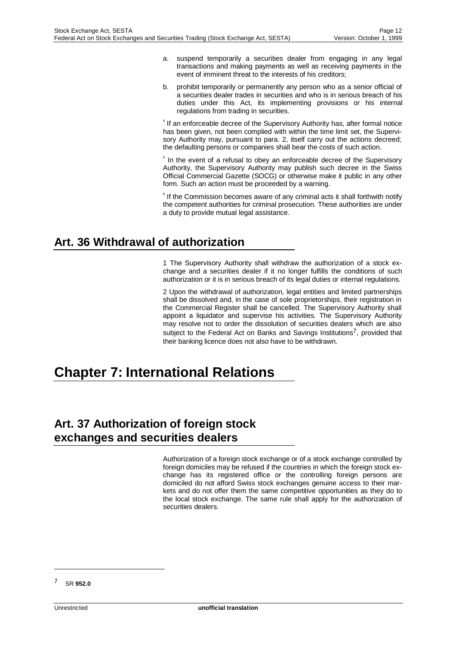- a. suspend temporarily a securities dealer from engaging in any legal transactions and making payments as well as receiving payments in the event of imminent threat to the interests of his creditors;
- b. prohibit temporarily or permanently any person who as a senior official of a securities dealer trades in securities and who is in serious breach of his duties under this Act, its implementing provisions or his internal regulations from trading in securities.

<sup>4</sup> If an enforceable decree of the Supervisory Authority has, after formal notice has been given, not been complied with within the time limit set, the Supervisory Authority may, pursuant to para. 2, itself carry out the actions decreed; the defaulting persons or companies shall bear the costs of such action.

<sup>5</sup> In the event of a refusal to obey an enforceable decree of the Supervisory Authority, the Supervisory Authority may publish such decree in the Swiss Official Commercial Gazette (SOCG) or otherwise make it public in any other form. Such an action must be proceeded by a warning.

 $6$  If the Commission becomes aware of any criminal acts it shall forthwith notify the competent authorities for criminal prosecution. These authorities are under a duty to provide mutual legal assistance.

# **Art. 36 Withdrawal of authorization**

1 The Supervisory Authority shall withdraw the authorization of a stock exchange and a securities dealer if it no longer fulfills the conditions of such authorization or it is in serious breach of its legal duties or internal regulations.

2 Upon the withdrawal of authorization, legal entities and limited partnerships shall be dissolved and, in the case of sole proprietorships, their registration in the Commercial Register shall be cancelled. The Supervisory Authority shall appoint a liquidator and supervise his activities. The Supervisory Authority may resolve not to order the dissolution of securities dealers which are also subject to the Federal Act on Banks and Savings Institutions<sup>7</sup>, provided that their banking licence does not also have to be withdrawn.

# **Chapter 7: International Relations**

# **Art. 37 Authorization of foreign stock exchanges and securities dealers**

Authorization of a foreign stock exchange or of a stock exchange controlled by foreign domiciles may be refused if the countries in which the foreign stock exchange has its registered office or the controlling foreign persons are domiciled do not afford Swiss stock exchanges genuine access to their markets and do not offer them the same competitive opportunities as they do to the local stock exchange. The same rule shall apply for the authorization of securities dealers.

<sup>7</sup> SR **952.0**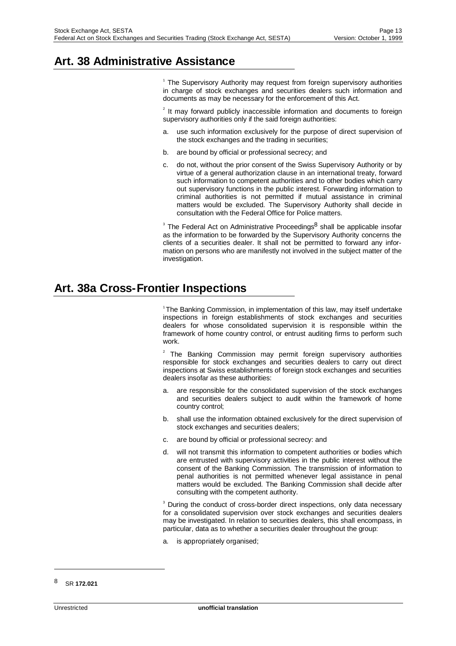# **Art. 38 Administrative Assistance**

<sup>1</sup> The Supervisory Authority may request from foreign supervisory authorities in charge of stock exchanges and securities dealers such information and documents as may be necessary for the enforcement of this Act.

 $2$  It may forward publicly inaccessible information and documents to foreign supervisory authorities only if the said foreign authorities:

- a. use such information exclusively for the purpose of direct supervision of the stock exchanges and the trading in securities;
- b. are bound by official or professional secrecy; and
- c. do not, without the prior consent of the Swiss Supervisory Authority or by virtue of a general authorization clause in an international treaty, forward such information to competent authorities and to other bodies which carry out supervisory functions in the public interest. Forwarding information to criminal authorities is not permitted if mutual assistance in criminal matters would be excluded. The Supervisory Authority shall decide in consultation with the Federal Office for Police matters.

<sup>3</sup> The Federal Act on Administrative Proceedings<sup>8</sup> shall be applicable insofar as the information to be forwarded by the Supervisory Authority concerns the clients of a securities dealer. It shall not be permitted to forward any information on persons who are manifestly not involved in the subject matter of the investigation.

#### **Art. 38a Cross-Frontier Inspections**

1 The Banking Commission, in implementation of this law, may itself undertake inspections in foreign establishments of stock exchanges and securities dealers for whose consolidated supervision it is responsible within the framework of home country control, or entrust auditing firms to perform such work.

2 The Banking Commission may permit foreign supervisory authorities responsible for stock exchanges and securities dealers to carry out direct inspections at Swiss establishments of foreign stock exchanges and securities dealers insofar as these authorities:

- a. are responsible for the consolidated supervision of the stock exchanges and securities dealers subject to audit within the framework of home country control;
- b. shall use the information obtained exclusively for the direct supervision of stock exchanges and securities dealers;
- c. are bound by official or professional secrecy: and
- d. will not transmit this information to competent authorities or bodies which are entrusted with supervisory activities in the public interest without the consent of the Banking Commission. The transmission of information to penal authorities is not permitted whenever legal assistance in penal matters would be excluded. The Banking Commission shall decide after consulting with the competent authority.

<sup>3</sup> During the conduct of cross-border direct inspections, only data necessary for a consolidated supervision over stock exchanges and securities dealers may be investigated. In relation to securities dealers, this shall encompass, in particular, data as to whether a securities dealer throughout the group:

a. is appropriately organised;

<sup>8</sup> SR **172.021**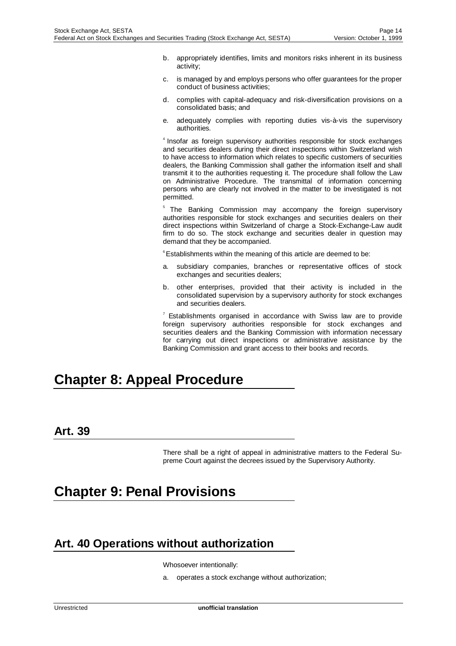- b. appropriately identifies, limits and monitors risks inherent in its business activity;
- c. is managed by and employs persons who offer guarantees for the proper conduct of business activities;
- d. complies with capital-adequacy and risk-diversification provisions on a consolidated basis; and
- e. adequately complies with reporting duties vis-à-vis the supervisory authorities.

<sup>4</sup> Insofar as foreign supervisory authorities responsible for stock exchanges and securities dealers during their direct inspections within Switzerland wish to have access to information which relates to specific customers of securities dealers, the Banking Commission shall gather the information itself and shall transmit it to the authorities requesting it. The procedure shall follow the Law on Administrative Procedure. The transmittal of information concerning persons who are clearly not involved in the matter to be investigated is not permitted.

5 The Banking Commission may accompany the foreign supervisory authorities responsible for stock exchanges and securities dealers on their direct inspections within Switzerland of charge a Stock-Exchange-Law audit firm to do so. The stock exchange and securities dealer in question may demand that they be accompanied.

<sup>6</sup> Establishments within the meaning of this article are deemed to be:

- a. subsidiary companies, branches or representative offices of stock exchanges and securities dealers;
- b. other enterprises, provided that their activity is included in the consolidated supervision by a supervisory authority for stock exchanges and securities dealers.

 $7$  Establishments organised in accordance with Swiss law are to provide foreign supervisory authorities responsible for stock exchanges and securities dealers and the Banking Commission with information necessary for carrying out direct inspections or administrative assistance by the Banking Commission and grant access to their books and records.

# **Chapter 8: Appeal Procedure**

#### **Art. 39**

There shall be a right of appeal in administrative matters to the Federal Supreme Court against the decrees issued by the Supervisory Authority.

# **Chapter 9: Penal Provisions**

#### **Art. 40 Operations without authorization**

Whosoever intentionally:

a. operates a stock exchange without authorization;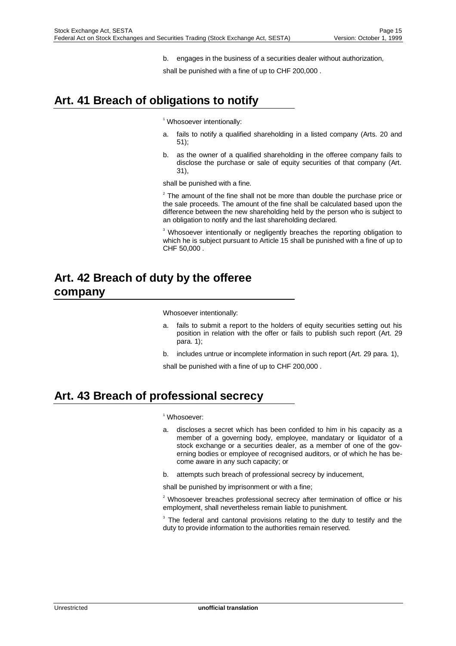b. engages in the business of a securities dealer without authorization,

shall be punished with a fine of up to CHF 200,000 .

# **Art. 41 Breach of obligations to notify**

<sup>1</sup> Whosoever intentionally:

- a. fails to notify a qualified shareholding in a listed company (Arts. 20 and 51);
- b. as the owner of a qualified shareholding in the offeree company fails to disclose the purchase or sale of equity securities of that company (Art. 31),

shall be punished with a fine.

 $2$  The amount of the fine shall not be more than double the purchase price or the sale proceeds. The amount of the fine shall be calculated based upon the difference between the new shareholding held by the person who is subject to an obligation to notify and the last shareholding declared.

<sup>3</sup> Whosoever intentionally or negligently breaches the reporting obligation to which he is subject pursuant to Article 15 shall be punished with a fine of up to CHF 50,000 .

### **Art. 42 Breach of duty by the offeree company**

Whosoever intentionally:

- a. fails to submit a report to the holders of equity securities setting out his position in relation with the offer or fails to publish such report (Art. 29 para. 1);
- b. includes untrue or incomplete information in such report (Art. 29 para. 1),

shall be punished with a fine of up to CHF 200,000 .

#### **Art. 43 Breach of professional secrecy**

1 Whosoever:

- a. discloses a secret which has been confided to him in his capacity as a member of a governing body, employee, mandatary or liquidator of a stock exchange or a securities dealer, as a member of one of the governing bodies or employee of recognised auditors, or of which he has become aware in any such capacity; or
- b. attempts such breach of professional secrecy by inducement,

shall be punished by imprisonment or with a fine;

 $2$  Whosoever breaches professional secrecy after termination of office or his employment, shall nevertheless remain liable to punishment.

 $3$  The federal and cantonal provisions relating to the duty to testify and the duty to provide information to the authorities remain reserved.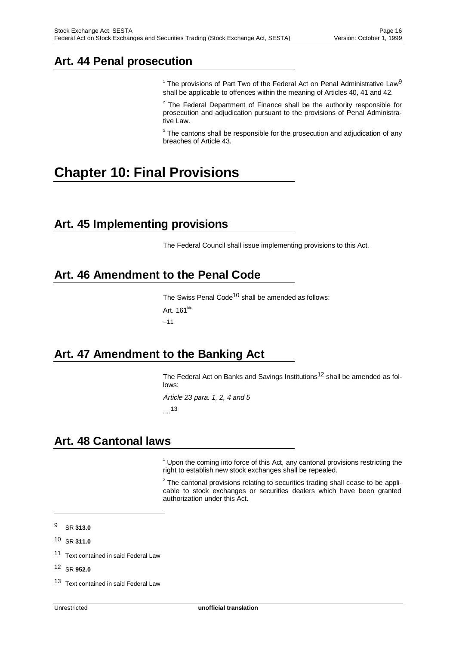### **Art. 44 Penal prosecution**

<sup>1</sup> The provisions of Part Two of the Federal Act on Penal Administrative Law<sup>9</sup> shall be applicable to offences within the meaning of Articles 40, 41 and 42.

 $2$  The Federal Department of Finance shall be the authority responsible for prosecution and adjudication pursuant to the provisions of Penal Administrative Law.

 $3$  The cantons shall be responsible for the prosecution and adjudication of any breaches of Article 43.

# **Chapter 10: Final Provisions**

#### **Art. 45 Implementing provisions**

The Federal Council shall issue implementing provisions to this Act.

### **Art. 46 Amendment to the Penal Code**

The Swiss Penal Code<sup>10</sup> shall be amended as follows: Art. 161<sup>bis</sup> ....11

#### **Art. 47 Amendment to the Banking Act**

The Federal Act on Banks and Savings Institutions<sup>12</sup> shall be amended as follows:

Article 23 para. 1, 2, 4 and 5 ....13

# **Art. 48 Cantonal laws**

<sup>1</sup> Upon the coming into force of this Act, any cantonal provisions restricting the right to establish new stock exchanges shall be repealed.

 $2$  The cantonal provisions relating to securities trading shall cease to be applicable to stock exchanges or securities dealers which have been granted authorization under this Act.

j

12 SR **952.0**

<sup>9</sup> SR **313.0**

<sup>10</sup> SR **311.0**

<sup>11</sup> Text contained in said Federal Law

<sup>13</sup> Text contained in said Federal Law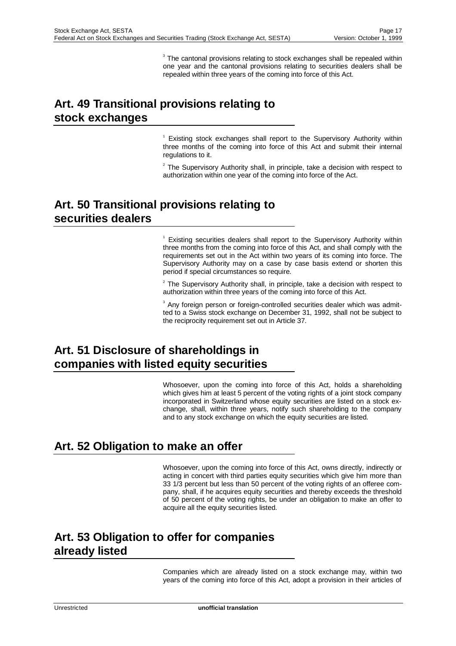$3$  The cantonal provisions relating to stock exchanges shall be repealed within one year and the cantonal provisions relating to securities dealers shall be repealed within three years of the coming into force of this Act.

# **Art. 49 Transitional provisions relating to stock exchanges**

<sup>1</sup> Existing stock exchanges shall report to the Supervisory Authority within three months of the coming into force of this Act and submit their internal regulations to it.

 $2$  The Supervisory Authority shall, in principle, take a decision with respect to authorization within one year of the coming into force of the Act.

# **Art. 50 Transitional provisions relating to securities dealers**

<sup>1</sup> Existing securities dealers shall report to the Supervisory Authority within three months from the coming into force of this Act, and shall comply with the requirements set out in the Act within two years of its coming into force. The Supervisory Authority may on a case by case basis extend or shorten this period if special circumstances so require.

 $2$  The Supervisory Authority shall, in principle, take a decision with respect to authorization within three years of the coming into force of this Act.

<sup>3</sup> Any foreign person or foreign-controlled securities dealer which was admitted to a Swiss stock exchange on December 31, 1992, shall not be subject to the reciprocity requirement set out in Article 37.

# **Art. 51 Disclosure of shareholdings in companies with listed equity securities**

Whosoever, upon the coming into force of this Act, holds a shareholding which gives him at least 5 percent of the voting rights of a joint stock company incorporated in Switzerland whose equity securities are listed on a stock exchange, shall, within three years, notify such shareholding to the company and to any stock exchange on which the equity securities are listed.

# **Art. 52 Obligation to make an offer**

Whosoever, upon the coming into force of this Act, owns directly, indirectly or acting in concert with third parties equity securities which give him more than 33 1/3 percent but less than 50 percent of the voting rights of an offeree company, shall, if he acquires equity securities and thereby exceeds the threshold of 50 percent of the voting rights, be under an obligation to make an offer to acquire all the equity securities listed.

#### **Art. 53 Obligation to offer for companies already listed**

Companies which are already listed on a stock exchange may, within two years of the coming into force of this Act, adopt a provision in their articles of